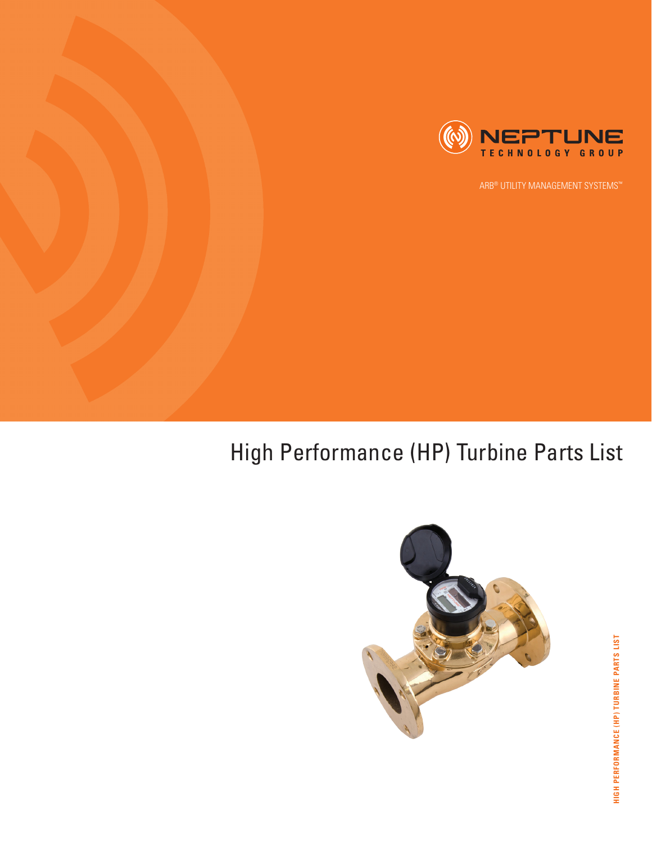

ARB® UTILITY MANAGEMENT SYSTEMS™

## High Performance (HP) Turbine Parts List

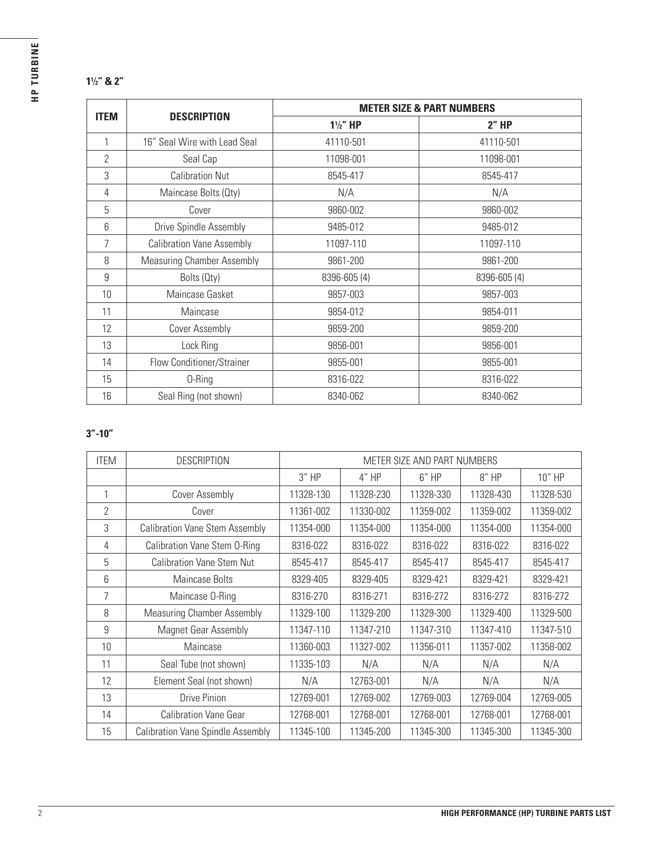## **⁄2" & 2"**

| <b>ITEM</b>    |                                   | <b>METER SIZE &amp; PART NUMBERS</b> |              |  |  |
|----------------|-----------------------------------|--------------------------------------|--------------|--|--|
|                | <b>DESCRIPTION</b>                | $1\frac{1}{2}$ " HP                  | 2"HP         |  |  |
| 1              | 16" Seal Wire with Lead Seal      | 41110-501                            | 41110-501    |  |  |
| $\overline{2}$ | Seal Cap                          | 11098-001                            | 11098-001    |  |  |
| 3              | <b>Calibration Nut</b>            | 8545-417                             | 8545-417     |  |  |
| 4              | Maincase Bolts (Qty)              | N/A                                  | N/A          |  |  |
| 5              | Cover                             | 9860-002                             | 9860-002     |  |  |
| 6              | Drive Spindle Assembly            | 9485-012                             | 9485-012     |  |  |
| 7              | <b>Calibration Vane Assembly</b>  | 11097-110                            | 11097-110    |  |  |
| 8              | <b>Measuring Chamber Assembly</b> | 9861-200                             | 9861-200     |  |  |
| 9              | Bolts (Qty)                       | 8396-605 (4)                         | 8396-605 (4) |  |  |
| 10             | Maincase Gasket                   | 9857-003                             | 9857-003     |  |  |
| 11             | Maincase                          | 9854-012                             | 9854-011     |  |  |
| 12             | Cover Assembly                    | 9859-200                             | 9859-200     |  |  |
| 13             | Lock Ring                         | 9856-001                             | 9856-001     |  |  |
| 14             | Flow Conditioner/Strainer         | 9855-001                             | 9855-001     |  |  |
| 15             | 0-Ring                            | 8316-022                             | 8316-022     |  |  |
| 16             | Seal Ring (not shown)             | 8340-062                             | 8340-062     |  |  |

## **3"-10"**

| <b>ITEM</b>    | <b>DESCRIPTION</b>                       | METER SIZE AND PART NUMBERS |           |           |           |           |
|----------------|------------------------------------------|-----------------------------|-----------|-----------|-----------|-----------|
|                |                                          | $3''$ HP                    | 4" HP     | $6''$ HP  | 8" HP     | 10" HP    |
|                | Cover Assembly                           | 11328-130                   | 11328-230 | 11328-330 | 11328-430 | 11328-530 |
| $\overline{2}$ | Cover                                    | 11361-002                   | 11330-002 | 11359-002 | 11359-002 | 11359-002 |
| 3              | <b>Calibration Vane Stem Assembly</b>    | 11354-000                   | 11354-000 | 11354-000 | 11354-000 | 11354-000 |
| 4              | Calibration Vane Stem O-Ring             | 8316-022                    | 8316-022  | 8316-022  | 8316-022  | 8316-022  |
| 5              | <b>Calibration Vane Stem Nut</b>         | 8545-417                    | 8545-417  | 8545-417  | 8545-417  | 8545-417  |
| 6              | Maincase Bolts                           | 8329-405                    | 8329-405  | 8329-421  | 8329-421  | 8329-421  |
| 7              | Maincase 0-Ring                          | 8316-270                    | 8316-271  | 8316-272  | 8316-272  | 8316-272  |
| 8              | <b>Measuring Chamber Assembly</b>        | 11329-100                   | 11329-200 | 11329-300 | 11329-400 | 11329-500 |
| 9              | Magnet Gear Assembly                     | 11347-110                   | 11347-210 | 11347-310 | 11347-410 | 11347-510 |
| 10             | Maincase                                 | 11360-003                   | 11327-002 | 11356-011 | 11357-002 | 11358-002 |
| 11             | Seal Tube (not shown)                    | 11335-103                   | N/A       | N/A       | N/A       | N/A       |
| 12             | Element Seal (not shown)                 | N/A                         | 12763-001 | N/A       | N/A       | N/A       |
| 13             | <b>Drive Pinion</b>                      | 12769-001                   | 12769-002 | 12769-003 | 12769-004 | 12769-005 |
| 14             | <b>Calibration Vane Gear</b>             | 12768-001                   | 12768-001 | 12768-001 | 12768-001 | 12768-001 |
| 15             | <b>Calibration Vane Spindle Assembly</b> | 11345-100                   | 11345-200 | 11345-300 | 11345-300 | 11345-300 |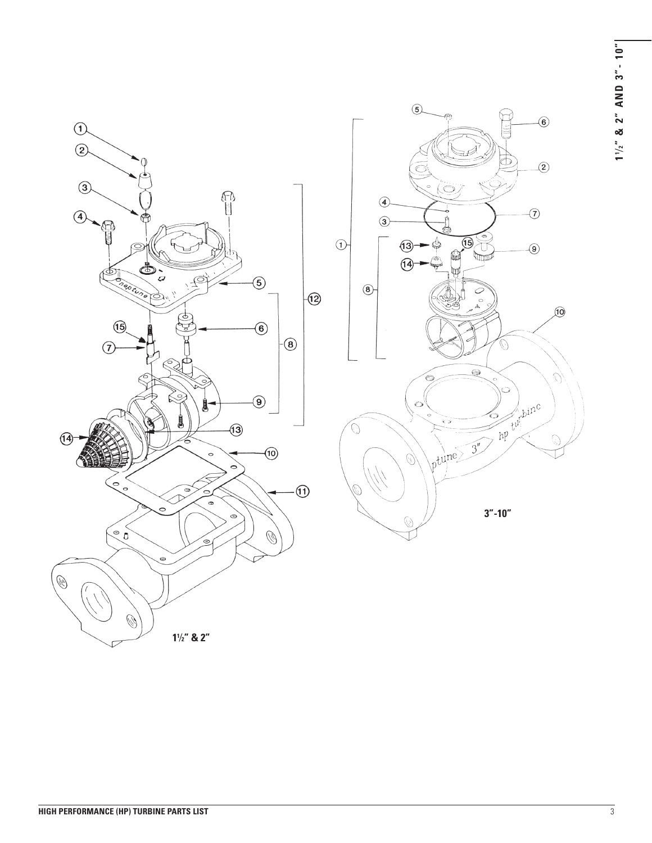**1 <sup>1</sup> ⁄ 2 " & 2" AND 3"- 10"**